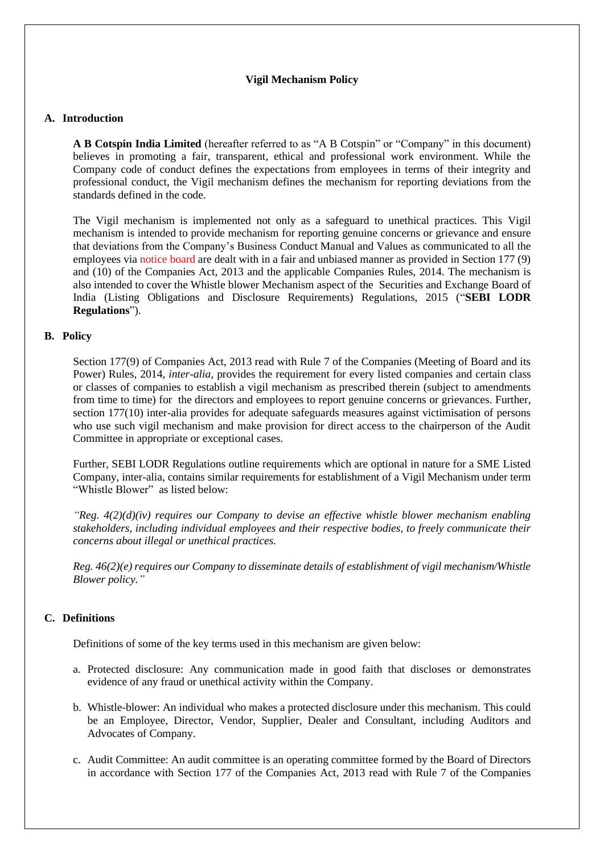# **Vigil Mechanism Policy**

# **A. Introduction**

**A B Cotspin India Limited** (hereafter referred to as "A B Cotspin" or "Company" in this document) believes in promoting a fair, transparent, ethical and professional work environment. While the Company code of conduct defines the expectations from employees in terms of their integrity and professional conduct, the Vigil mechanism defines the mechanism for reporting deviations from the standards defined in the code.

The Vigil mechanism is implemented not only as a safeguard to unethical practices. This Vigil mechanism is intended to provide mechanism for reporting genuine concerns or grievance and ensure that deviations from the Company's Business Conduct Manual and Values as communicated to all the employees via notice board are dealt with in a fair and unbiased manner as provided in Section 177 (9) and (10) of the Companies Act, 2013 and the applicable Companies Rules, 2014. The mechanism is also intended to cover the Whistle blower Mechanism aspect of the Securities and Exchange Board of India (Listing Obligations and Disclosure Requirements) Regulations, 2015 ("**SEBI LODR Regulations**").

# **B. Policy**

Section 177(9) of Companies Act, 2013 read with Rule 7 of the Companies (Meeting of Board and its Power) Rules, 2014, *inter-alia,* provides the requirement for every listed companies and certain class or classes of companies to establish a vigil mechanism as prescribed therein (subject to amendments from time to time) for the directors and employees to report genuine concerns or grievances. Further, section 177(10) inter-alia provides for adequate safeguards measures against victimisation of persons who use such vigil mechanism and make provision for direct access to the chairperson of the Audit Committee in appropriate or exceptional cases.

Further, SEBI LODR Regulations outline requirements which are optional in nature for a SME Listed Company, inter-alia, contains similar requirements for establishment of a Vigil Mechanism under term "Whistle Blower" as listed below:

*"Reg. 4(2)(d)(iv) requires our Company to devise an effective whistle blower mechanism enabling stakeholders, including individual employees and their respective bodies, to freely communicate their concerns about illegal or unethical practices.*

*Reg. 46(2)(e) requires our Company to disseminate details of establishment of vigil mechanism/Whistle Blower policy."*

# **C. Definitions**

Definitions of some of the key terms used in this mechanism are given below:

- a. Protected disclosure: Any communication made in good faith that discloses or demonstrates evidence of any fraud or unethical activity within the Company.
- b. Whistle-blower: An individual who makes a protected disclosure under this mechanism. This could be an Employee, Director, Vendor, Supplier, Dealer and Consultant, including Auditors and Advocates of Company.
- c. Audit Committee: An audit committee is an operating committee formed by the Board of Directors in accordance with Section 177 of the Companies Act, 2013 read with Rule 7 of the Companies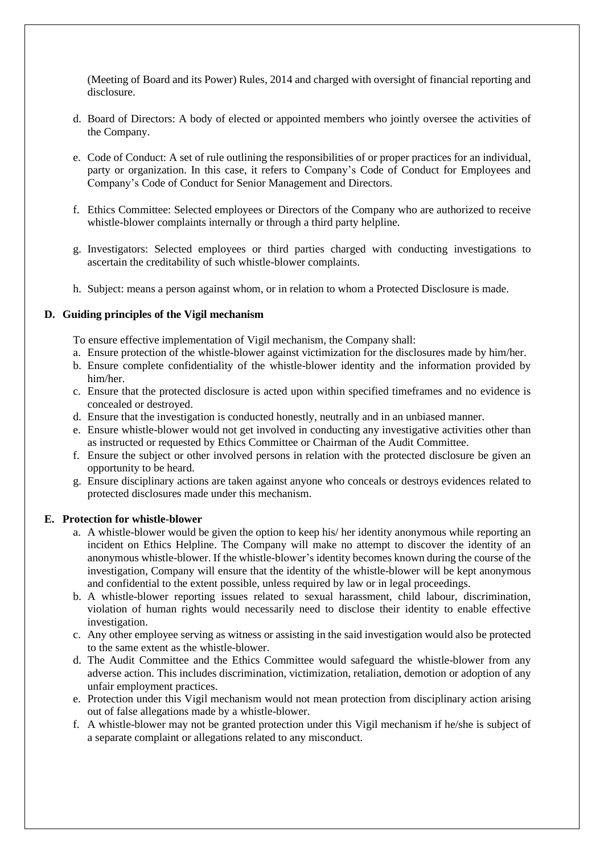(Meeting of Board and its Power) Rules, 2014 and charged with oversight of financial reporting and disclosure.

- d. Board of Directors: A body of elected or appointed members who jointly oversee the activities of the Company.
- e. Code of Conduct: A set of rule outlining the responsibilities of or proper practices for an individual, party or organization. In this case, it refers to Company's Code of Conduct for Employees and Company's Code of Conduct for Senior Management and Directors.
- f. Ethics Committee: Selected employees or Directors of the Company who are authorized to receive whistle-blower complaints internally or through a third party helpline.
- g. Investigators: Selected employees or third parties charged with conducting investigations to ascertain the creditability of such whistle-blower complaints.
- h. Subject: means a person against whom, or in relation to whom a Protected Disclosure is made.

# **D. Guiding principles of the Vigil mechanism**

To ensure effective implementation of Vigil mechanism, the Company shall:

- a. Ensure protection of the whistle-blower against victimization for the disclosures made by him/her.
- b. Ensure complete confidentiality of the whistle-blower identity and the information provided by him/her.
- c. Ensure that the protected disclosure is acted upon within specified timeframes and no evidence is concealed or destroyed.
- d. Ensure that the investigation is conducted honestly, neutrally and in an unbiased manner.
- e. Ensure whistle-blower would not get involved in conducting any investigative activities other than as instructed or requested by Ethics Committee or Chairman of the Audit Committee.
- f. Ensure the subject or other involved persons in relation with the protected disclosure be given an opportunity to be heard.
- g. Ensure disciplinary actions are taken against anyone who conceals or destroys evidences related to protected disclosures made under this mechanism.

# **E. Protection for whistle-blower**

- a. A whistle-blower would be given the option to keep his/ her identity anonymous while reporting an incident on Ethics Helpline. The Company will make no attempt to discover the identity of an anonymous whistle-blower. If the whistle-blower's identity becomes known during the course of the investigation, Company will ensure that the identity of the whistle-blower will be kept anonymous and confidential to the extent possible, unless required by law or in legal proceedings.
- b. A whistle-blower reporting issues related to sexual harassment, child labour, discrimination, violation of human rights would necessarily need to disclose their identity to enable effective investigation.
- c. Any other employee serving as witness or assisting in the said investigation would also be protected to the same extent as the whistle-blower.
- d. The Audit Committee and the Ethics Committee would safeguard the whistle-blower from any adverse action. This includes discrimination, victimization, retaliation, demotion or adoption of any unfair employment practices.
- e. Protection under this Vigil mechanism would not mean protection from disciplinary action arising out of false allegations made by a whistle-blower.
- f. A whistle-blower may not be granted protection under this Vigil mechanism if he/she is subject of a separate complaint or allegations related to any misconduct.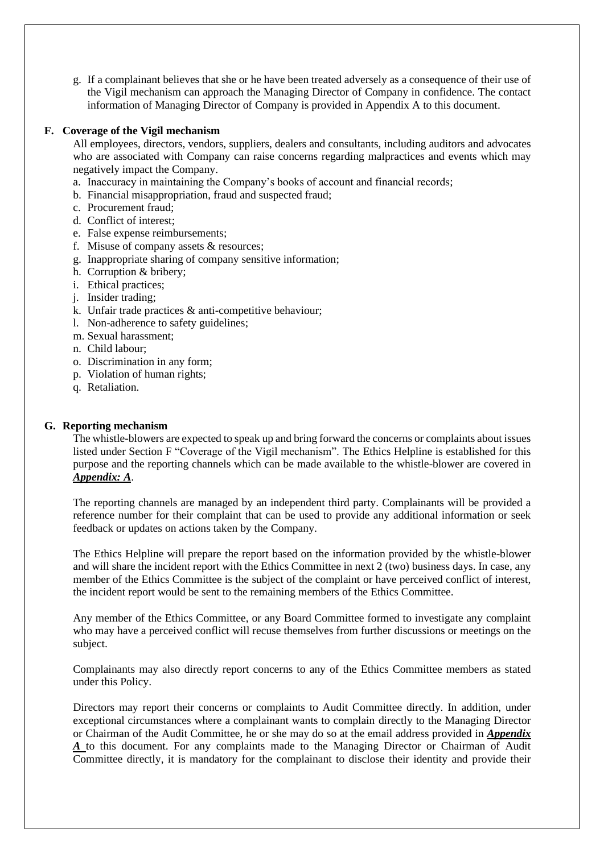g. If a complainant believes that she or he have been treated adversely as a consequence of their use of the Vigil mechanism can approach the Managing Director of Company in confidence. The contact information of Managing Director of Company is provided in Appendix A to this document.

# **F. Coverage of the Vigil mechanism**

All employees, directors, vendors, suppliers, dealers and consultants, including auditors and advocates who are associated with Company can raise concerns regarding malpractices and events which may negatively impact the Company.

- a. Inaccuracy in maintaining the Company's books of account and financial records;
- b. Financial misappropriation, fraud and suspected fraud;
- c. Procurement fraud;
- d. Conflict of interest;
- e. False expense reimbursements;
- f. Misuse of company assets & resources;
- g. Inappropriate sharing of company sensitive information;
- h. Corruption & bribery;
- i. Ethical practices;
- j. Insider trading;
- k. Unfair trade practices & anti-competitive behaviour;
- l. Non-adherence to safety guidelines;
- m. Sexual harassment;
- n. Child labour;
- o. Discrimination in any form;
- p. Violation of human rights;
- q. Retaliation.

# **G. Reporting mechanism**

The whistle-blowers are expected to speak up and bring forward the concerns or complaints about issues listed under Section F "Coverage of the Vigil mechanism". The Ethics Helpline is established for this purpose and the reporting channels which can be made available to the whistle-blower are covered in *Appendix: A*.

The reporting channels are managed by an independent third party. Complainants will be provided a reference number for their complaint that can be used to provide any additional information or seek feedback or updates on actions taken by the Company.

The Ethics Helpline will prepare the report based on the information provided by the whistle-blower and will share the incident report with the Ethics Committee in next 2 (two) business days. In case, any member of the Ethics Committee is the subject of the complaint or have perceived conflict of interest, the incident report would be sent to the remaining members of the Ethics Committee.

Any member of the Ethics Committee, or any Board Committee formed to investigate any complaint who may have a perceived conflict will recuse themselves from further discussions or meetings on the subject.

Complainants may also directly report concerns to any of the Ethics Committee members as stated under this Policy.

Directors may report their concerns or complaints to Audit Committee directly. In addition, under exceptional circumstances where a complainant wants to complain directly to the Managing Director or Chairman of the Audit Committee, he or she may do so at the email address provided in *Appendix A* to this document. For any complaints made to the Managing Director or Chairman of Audit Committee directly, it is mandatory for the complainant to disclose their identity and provide their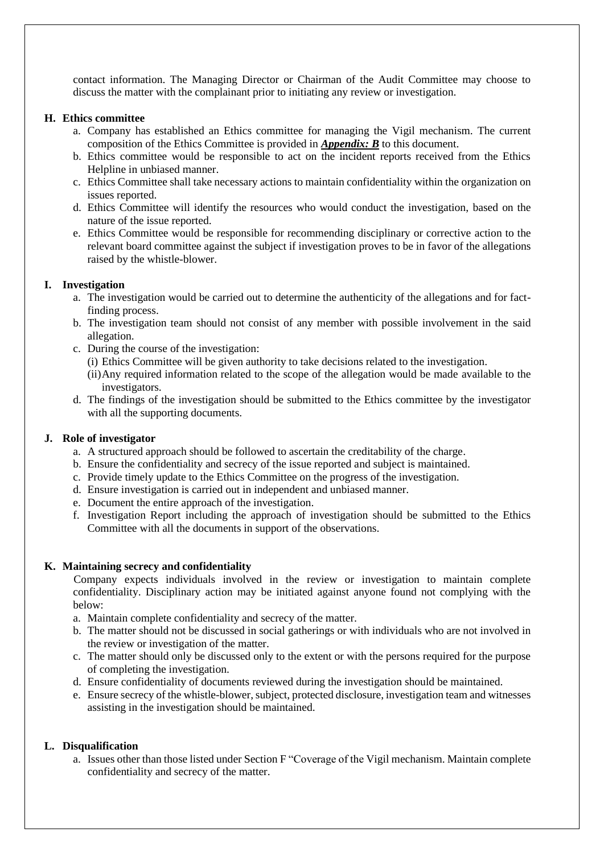contact information. The Managing Director or Chairman of the Audit Committee may choose to discuss the matter with the complainant prior to initiating any review or investigation.

# **H. Ethics committee**

- a. Company has established an Ethics committee for managing the Vigil mechanism. The current composition of the Ethics Committee is provided in *Appendix: B* to this document.
- b. Ethics committee would be responsible to act on the incident reports received from the Ethics Helpline in unbiased manner.
- c. Ethics Committee shall take necessary actions to maintain confidentiality within the organization on issues reported.
- d. Ethics Committee will identify the resources who would conduct the investigation, based on the nature of the issue reported.
- e. Ethics Committee would be responsible for recommending disciplinary or corrective action to the relevant board committee against the subject if investigation proves to be in favor of the allegations raised by the whistle-blower.

# **I. Investigation**

- a. The investigation would be carried out to determine the authenticity of the allegations and for factfinding process.
- b. The investigation team should not consist of any member with possible involvement in the said allegation.
- c. During the course of the investigation:
	- (i) Ethics Committee will be given authority to take decisions related to the investigation.
	- (ii)Any required information related to the scope of the allegation would be made available to the investigators.
- d. The findings of the investigation should be submitted to the Ethics committee by the investigator with all the supporting documents.

# **J. Role of investigator**

- a. A structured approach should be followed to ascertain the creditability of the charge.
- b. Ensure the confidentiality and secrecy of the issue reported and subject is maintained.
- c. Provide timely update to the Ethics Committee on the progress of the investigation.
- d. Ensure investigation is carried out in independent and unbiased manner.
- e. Document the entire approach of the investigation.
- f. Investigation Report including the approach of investigation should be submitted to the Ethics Committee with all the documents in support of the observations.

# **K. Maintaining secrecy and confidentiality**

Company expects individuals involved in the review or investigation to maintain complete confidentiality. Disciplinary action may be initiated against anyone found not complying with the below:

- a. Maintain complete confidentiality and secrecy of the matter.
- b. The matter should not be discussed in social gatherings or with individuals who are not involved in the review or investigation of the matter.
- c. The matter should only be discussed only to the extent or with the persons required for the purpose of completing the investigation.
- d. Ensure confidentiality of documents reviewed during the investigation should be maintained.
- e. Ensure secrecy of the whistle-blower, subject, protected disclosure, investigation team and witnesses assisting in the investigation should be maintained.

# **L. Disqualification**

a. Issues other than those listed under Section F "Coverage of the Vigil mechanism. Maintain complete confidentiality and secrecy of the matter.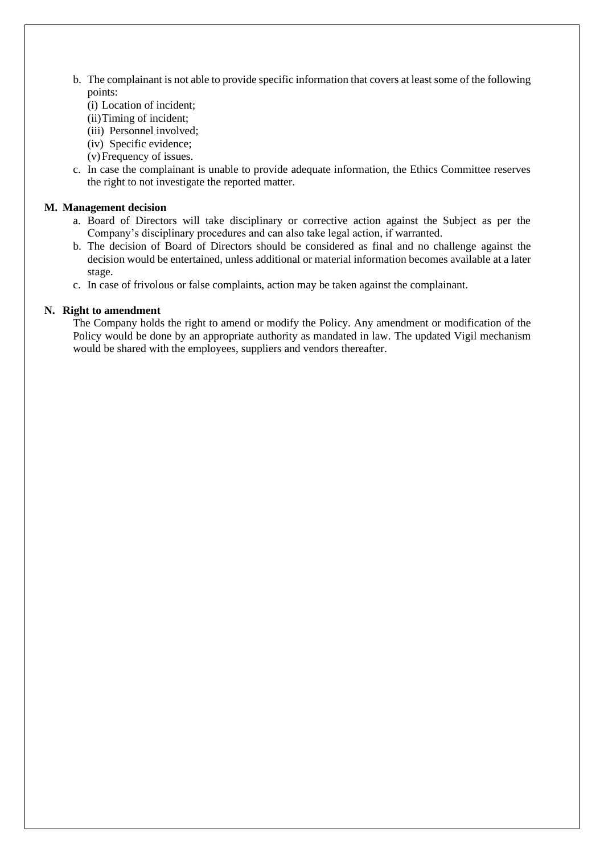- b. The complainant is not able to provide specific information that covers at least some of the following points:
	- (i) Location of incident;
	- (ii)Timing of incident;
	- (iii) Personnel involved;
	- (iv) Specific evidence;
	- (v)Frequency of issues.
- c. In case the complainant is unable to provide adequate information, the Ethics Committee reserves the right to not investigate the reported matter.

# **M. Management decision**

- a. Board of Directors will take disciplinary or corrective action against the Subject as per the Company's disciplinary procedures and can also take legal action, if warranted.
- b. The decision of Board of Directors should be considered as final and no challenge against the decision would be entertained, unless additional or material information becomes available at a later stage.
- c. In case of frivolous or false complaints, action may be taken against the complainant.

# **N. Right to amendment**

The Company holds the right to amend or modify the Policy. Any amendment or modification of the Policy would be done by an appropriate authority as mandated in law. The updated Vigil mechanism would be shared with the employees, suppliers and vendors thereafter.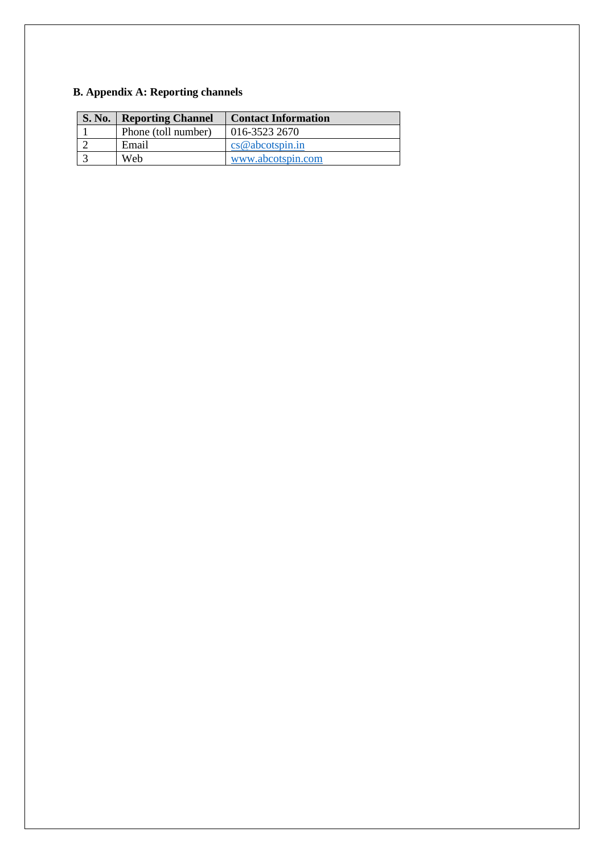# **B. Appendix A: Reporting channels**

| <b>S. No.</b> | <b>Reporting Channel</b> | <b>Contact Information</b> |
|---------------|--------------------------|----------------------------|
|               | Phone (toll number)      | 016-3523 2670              |
|               | Email                    | cs@abcotspin.in            |
|               | Web                      | www.abcotspin.com          |